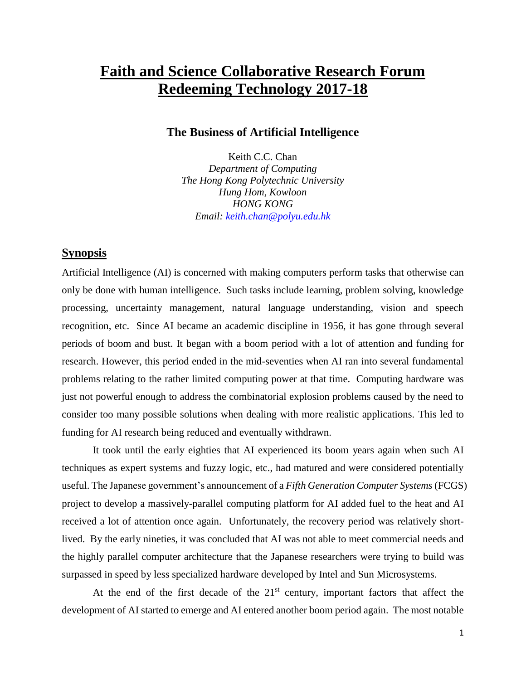## **Faith and Science Collaborative Research Forum Redeeming Technology 2017-18**

## **The Business of Artificial Intelligence**

Keith C.C. Chan *Department of Computing The Hong Kong Polytechnic University Hung Hom, Kowloon HONG KONG Email: [keith.chan@polyu.edu.hk](mailto:keith.chan@polyu.edu.hk)*

## **Synopsis**

Artificial Intelligence (AI) is concerned with making computers perform tasks that otherwise can only be done with human intelligence. Such tasks include learning, problem solving, knowledge processing, uncertainty management, natural language understanding, vision and speech recognition, etc. Since AI became an academic discipline in 1956, it has gone through several periods of boom and bust. It began with a boom period with a lot of attention and funding for research. However, this period ended in the mid-seventies when AI ran into several fundamental problems relating to the rather limited computing power at that time. Computing hardware was just not powerful enough to address the combinatorial explosion problems caused by the need to consider too many possible solutions when dealing with more realistic applications. This led to funding for AI research being reduced and eventually withdrawn.

It took until the early eighties that AI experienced its boom years again when such AI techniques as expert systems and fuzzy logic, etc., had matured and were considered potentially useful. The Japanese government's announcement of a *Fifth Generation Computer Systems* (FCGS) project to develop a massively-parallel computing platform for AI added fuel to the heat and AI received a lot of attention once again. Unfortunately, the recovery period was relatively shortlived. By the early nineties, it was concluded that AI was not able to meet commercial needs and the highly parallel computer architecture that the Japanese researchers were trying to build was surpassed in speed by less specialized hardware developed by Intel and Sun Microsystems.

At the end of the first decade of the  $21<sup>st</sup>$  century, important factors that affect the development of AI started to emerge and AI entered another boom period again. The most notable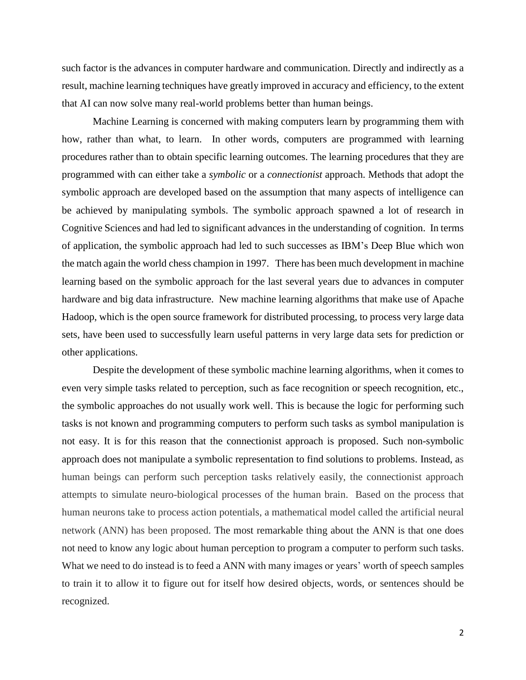such factor is the advances in computer hardware and communication. Directly and indirectly as a result, machine learning techniques have greatly improved in accuracy and efficiency, to the extent that AI can now solve many real-world problems better than human beings.

Machine Learning is concerned with making computers learn by programming them with how, rather than what, to learn. In other words, computers are programmed with learning procedures rather than to obtain specific learning outcomes. The learning procedures that they are programmed with can either take a *symbolic* or a *connectionist* approach. Methods that adopt the symbolic approach are developed based on the assumption that many aspects of intelligence can be achieved by manipulating symbols. The symbolic approach spawned a lot of research in Cognitive Sciences and had led to significant advances in the understanding of cognition. In terms of application, the symbolic approach had led to such successes as IBM's Deep Blue which won the match again the world chess champion in 1997. There has been much development in machine learning based on the symbolic approach for the last several years due to advances in computer hardware and big data infrastructure. New machine learning algorithms that make use of Apache Hadoop, which is the open source framework for distributed processing, to process very large data sets, have been used to successfully learn useful patterns in very large data sets for prediction or other applications.

Despite the development of these symbolic machine learning algorithms, when it comes to even very simple tasks related to perception, such as face recognition or speech recognition, etc., the symbolic approaches do not usually work well. This is because the logic for performing such tasks is not known and programming computers to perform such tasks as symbol manipulation is not easy. It is for this reason that the connectionist approach is proposed. Such non-symbolic approach does not manipulate a symbolic representation to find solutions to problems. Instead, as human beings can perform such perception tasks relatively easily, the connectionist approach attempts to simulate neuro-biological processes of the human brain. Based on the process that human neurons take to process action potentials, a mathematical model called the artificial neural network (ANN) has been proposed. The most remarkable thing about the ANN is that one does not need to know any logic about human perception to program a computer to perform such tasks. What we need to do instead is to feed a ANN with many images or years' worth of speech samples to train it to allow it to figure out for itself how desired objects, words, or sentences should be recognized.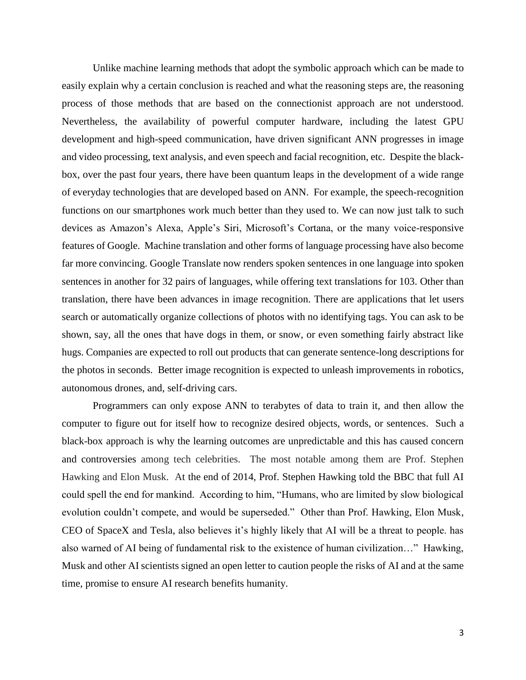Unlike machine learning methods that adopt the symbolic approach which can be made to easily explain why a certain conclusion is reached and what the reasoning steps are, the reasoning process of those methods that are based on the connectionist approach are not understood. Nevertheless, the availability of powerful computer hardware, including the latest GPU development and high-speed communication, have driven significant ANN progresses in image and video processing, text analysis, and even speech and facial recognition, etc. Despite the blackbox, over the past four years, there have been quantum leaps in the development of a wide range of everyday technologies that are developed based on ANN. For example, the speech-recognition functions on our smartphones work much better than they used to. We can now just talk to such devices as Amazon's Alexa, Apple's Siri, Microsoft's Cortana, or the many voice-responsive features of Google. Machine translation and other forms of language processing have also become far more convincing. Google Translate now renders spoken sentences in one language into spoken sentences in another for 32 pairs of languages, while offering text translations for 103. Other than translation, there have been advances in image recognition. There are applications that let users search or automatically organize collections of photos with no identifying tags. You can ask to be shown, say, all the ones that have dogs in them, or snow, or even something fairly abstract like hugs. Companies are expected to roll out products that can generate sentence-long descriptions for the photos in seconds. Better image recognition is expected to unleash improvements in robotics, autonomous drones, and, self-driving cars.

Programmers can only expose ANN to terabytes of data to train it, and then allow the computer to figure out for itself how to recognize desired objects, words, or sentences. Such a black-box approach is why the learning outcomes are unpredictable and this has caused concern and controversies among tech celebrities. The most notable among them are Prof. Stephen Hawking and Elon Musk. At the end of 2014, Prof. Stephen Hawking told the BBC that full AI could spell the end for mankind. According to him, "Humans, who are limited by slow biological evolution couldn't compete, and would be superseded." Other than Prof. Hawking, Elon Musk, CEO of SpaceX and Tesla, also believes it's highly likely that AI will be a threat to people. has also warned of AI being of fundamental risk to the existence of human civilization…" Hawking, Musk and other AI scientists signed an open letter to caution people the risks of AI and at the same time, promise to ensure AI research benefits humanity.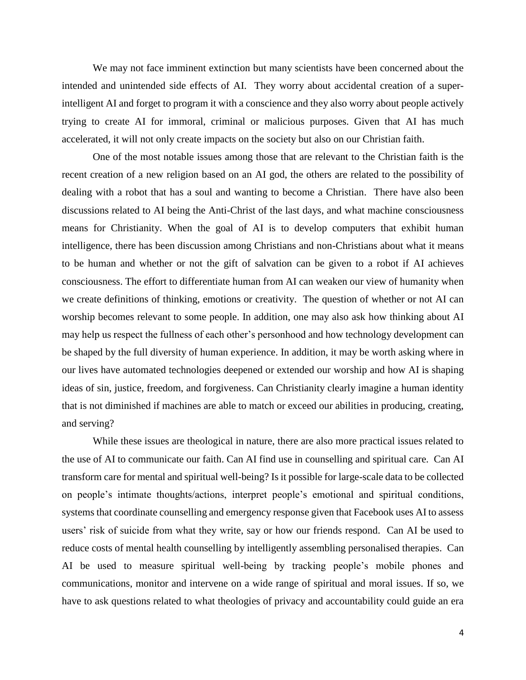We may not face imminent extinction but many scientists have been concerned about the intended and unintended side effects of AI. They worry about accidental creation of a superintelligent AI and forget to program it with a conscience and they also worry about people actively trying to create AI for immoral, criminal or malicious purposes. Given that AI has much accelerated, it will not only create impacts on the society but also on our Christian faith.

One of the most notable issues among those that are relevant to the Christian faith is the recent creation of a new religion based on an AI god, the others are related to the possibility of dealing with a robot that has a soul and wanting to become a Christian. There have also been discussions related to AI being the Anti-Christ of the last days, and what machine consciousness means for Christianity. When the goal of AI is to develop computers that exhibit human intelligence, there has been discussion among Christians and non-Christians about what it means to be human and whether or not the gift of salvation can be given to a robot if AI achieves consciousness. The effort to differentiate human from AI can weaken our view of humanity when we create definitions of thinking, emotions or creativity. The question of whether or not AI can worship becomes relevant to some people. In addition, one may also ask how thinking about AI may help us respect the fullness of each other's personhood and how technology development can be shaped by the full diversity of human experience. In addition, it may be worth asking where in our lives have automated technologies deepened or extended our worship and how AI is shaping ideas of sin, justice, freedom, and forgiveness. Can Christianity clearly imagine a human identity that is not diminished if machines are able to match or exceed our abilities in producing, creating, and serving?

While these issues are theological in nature, there are also more practical issues related to the use of AI to communicate our faith. Can AI find use in counselling and spiritual care. Can AI transform care for mental and spiritual well-being? Is it possible for large-scale data to be collected on people's intimate thoughts/actions, interpret people's emotional and spiritual conditions, systems that coordinate counselling and emergency response given that Facebook uses AI to assess users' risk of suicide from what they write, say or how our friends respond. Can AI be used to reduce costs of mental health counselling by intelligently assembling personalised therapies. Can AI be used to measure spiritual well-being by tracking people's mobile phones and communications, monitor and intervene on a wide range of spiritual and moral issues. If so, we have to ask questions related to what theologies of privacy and accountability could guide an era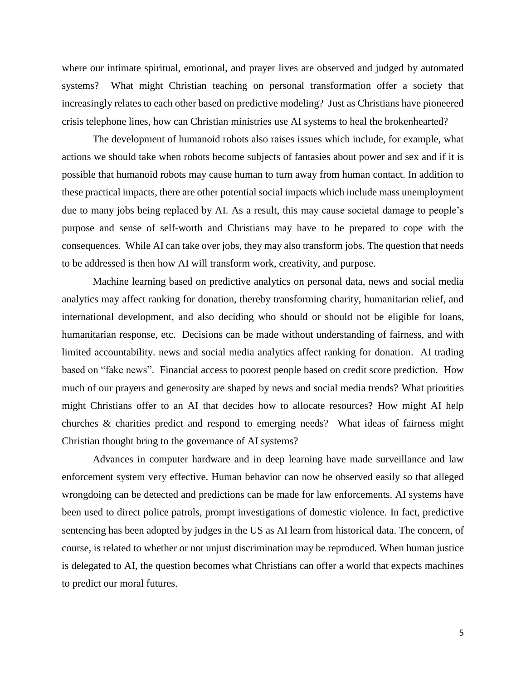where our intimate spiritual, emotional, and prayer lives are observed and judged by automated systems? What might Christian teaching on personal transformation offer a society that increasingly relates to each other based on predictive modeling? Just as Christians have pioneered crisis telephone lines, how can Christian ministries use AI systems to heal the brokenhearted?

The development of humanoid robots also raises issues which include, for example, what actions we should take when robots become subjects of fantasies about power and sex and if it is possible that humanoid robots may cause human to turn away from human contact. In addition to these practical impacts, there are other potential social impacts which include mass unemployment due to many jobs being replaced by AI. As a result, this may cause societal damage to people's purpose and sense of self-worth and Christians may have to be prepared to cope with the consequences. While AI can take over jobs, they may also transform jobs. The question that needs to be addressed is then how AI will transform work, creativity, and purpose.

Machine learning based on predictive analytics on personal data, news and social media analytics may affect ranking for donation, thereby transforming charity, humanitarian relief, and international development, and also deciding who should or should not be eligible for loans, humanitarian response, etc. Decisions can be made without understanding of fairness, and with limited accountability. news and social media analytics affect ranking for donation. AI trading based on "fake news". Financial access to poorest people based on credit score prediction. How much of our prayers and generosity are shaped by news and social media trends? What priorities might Christians offer to an AI that decides how to allocate resources? How might AI help churches & charities predict and respond to emerging needs? What ideas of fairness might Christian thought bring to the governance of AI systems?

Advances in computer hardware and in deep learning have made surveillance and law enforcement system very effective. Human behavior can now be observed easily so that alleged wrongdoing can be detected and predictions can be made for law enforcements. AI systems have been used to direct police patrols, prompt investigations of domestic violence. In fact, predictive sentencing has been adopted by judges in the US as AI learn from historical data. The concern, of course, is related to whether or not unjust discrimination may be reproduced. When human justice is delegated to AI, the question becomes what Christians can offer a world that expects machines to predict our moral futures.